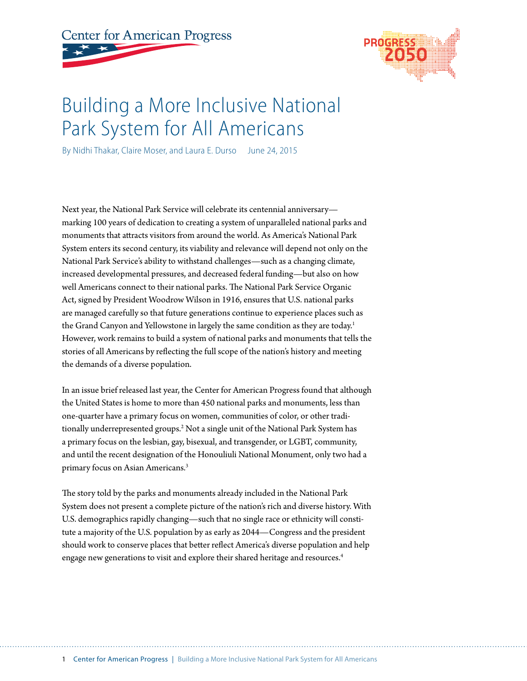# **Center for American Progress**



# Building a More Inclusive National Park System for All Americans

By Nidhi Thakar, Claire Moser, and Laura E. Durso June 24, 2015

Next year, the National Park Service will celebrate its centennial anniversary marking 100 years of dedication to creating a system of unparalleled national parks and monuments that attracts visitors from around the world. As America's National Park System enters its second century, its viability and relevance will depend not only on the National Park Service's ability to withstand challenges—such as a changing climate, increased developmental pressures, and decreased federal funding—but also on how well Americans connect to their national parks. The National Park Service Organic Act, signed by President Woodrow Wilson in 1916, ensures that U.S. national parks are managed carefully so that future generations continue to experience places such as the Grand Canyon and Yellowstone in largely the same condition as they are today.<sup>1</sup> However, work remains to build a system of national parks and monuments that tells the stories of all Americans by reflecting the full scope of the nation's history and meeting the demands of a diverse population.

In an issue brief released last year, the Center for American Progress found that although the United States is home to more than 450 national parks and monuments, less than one-quarter have a primary focus on women, communities of color, or other traditionally underrepresented groups.<sup>2</sup> Not a single unit of the National Park System has a primary focus on the lesbian, gay, bisexual, and transgender, or LGBT, community, and until the recent designation of the Honouliuli National Monument, only two had a primary focus on Asian Americans.<sup>3</sup>

The story told by the parks and monuments already included in the National Park System does not present a complete picture of the nation's rich and diverse history. With U.S. demographics rapidly changing—such that no single race or ethnicity will constitute a majority of the U.S. population by as early as 2044—Congress and the president should work to conserve places that better reflect America's diverse population and help engage new generations to visit and explore their shared heritage and resources.<sup>4</sup>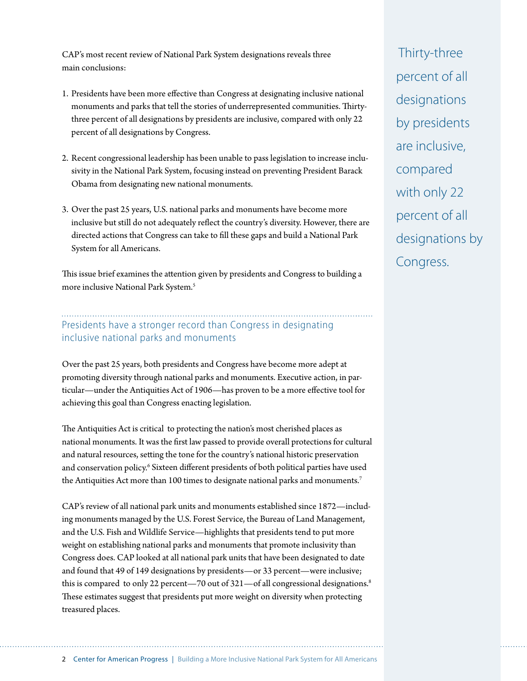CAP's most recent review of National Park System designations reveals three main conclusions:

- 1. Presidents have been more effective than Congress at designating inclusive national monuments and parks that tell the stories of underrepresented communities. Thirtythree percent of all designations by presidents are inclusive, compared with only 22 percent of all designations by Congress.
- 2. Recent congressional leadership has been unable to pass legislation to increase inclusivity in the National Park System, focusing instead on preventing President Barack Obama from designating new national monuments.
- 3. Over the past 25 years, U.S. national parks and monuments have become more inclusive but still do not adequately reflect the country's diversity. However, there are directed actions that Congress can take to fill these gaps and build a National Park System for all Americans.

This issue brief examines the attention given by presidents and Congress to building a more inclusive National Park System.<sup>5</sup>

### Presidents have a stronger record than Congress in designating inclusive national parks and monuments

Over the past 25 years, both presidents and Congress have become more adept at promoting diversity through national parks and monuments. Executive action, in particular—under the Antiquities Act of 1906—has proven to be a more effective tool for achieving this goal than Congress enacting legislation.

The Antiquities Act is critical to protecting the nation's most cherished places as national monuments. It was the first law passed to provide overall protections for cultural and natural resources, setting the tone for the country's national historic preservation and conservation policy.<sup>6</sup> Sixteen different presidents of both political parties have used the Antiquities Act more than 100 times to designate national parks and monuments.<sup>7</sup>

CAP's review of all national park units and monuments established since 1872—including monuments managed by the U.S. Forest Service, the Bureau of Land Management, and the U.S. Fish and Wildlife Service—highlights that presidents tend to put more weight on establishing national parks and monuments that promote inclusivity than Congress does. CAP looked at all national park units that have been designated to date and found that 49 of 149 designations by presidents—or 33 percent—were inclusive; this is compared to only 22 percent—70 out of 321—of all congressional designations.<sup>8</sup> These estimates suggest that presidents put more weight on diversity when protecting treasured places.

 Thirty-three percent of all designations by presidents are inclusive, compared with only 22 percent of all designations by Congress.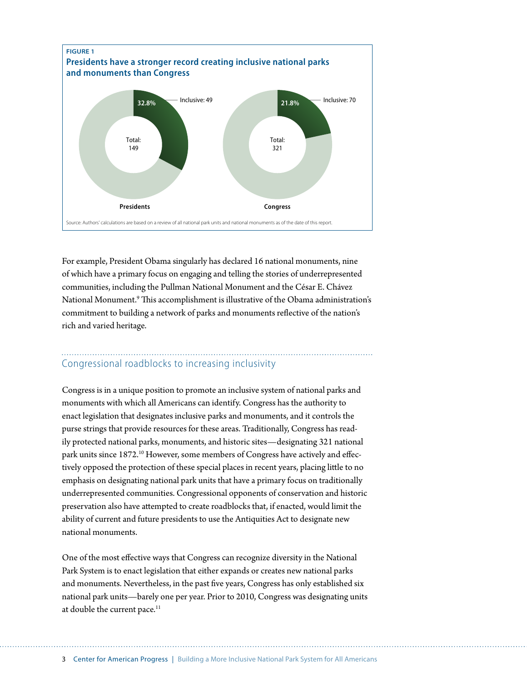

For example, President Obama singularly has declared 16 national monuments, nine of which have a primary focus on engaging and telling the stories of underrepresented communities, including the Pullman National Monument and the César E. Chávez National Monument.9 This accomplishment is illustrative of the Obama administration's commitment to building a network of parks and monuments reflective of the nation's rich and varied heritage.

## Congressional roadblocks to increasing inclusivity

Congress is in a unique position to promote an inclusive system of national parks and monuments with which all Americans can identify. Congress has the authority to enact legislation that designates inclusive parks and monuments, and it controls the purse strings that provide resources for these areas. Traditionally, Congress has readily protected national parks, monuments, and historic sites—designating 321 national park units since 1872.<sup>10</sup> However, some members of Congress have actively and effectively opposed the protection of these special places in recent years, placing little to no emphasis on designating national park units that have a primary focus on traditionally underrepresented communities. Congressional opponents of conservation and historic preservation also have attempted to create roadblocks that, if enacted, would limit the ability of current and future presidents to use the Antiquities Act to designate new national monuments.

One of the most effective ways that Congress can recognize diversity in the National Park System is to enact legislation that either expands or creates new national parks and monuments. Nevertheless, in the past five years, Congress has only established six national park units—barely one per year. Prior to 2010, Congress was designating units at double the current pace.<sup>11</sup>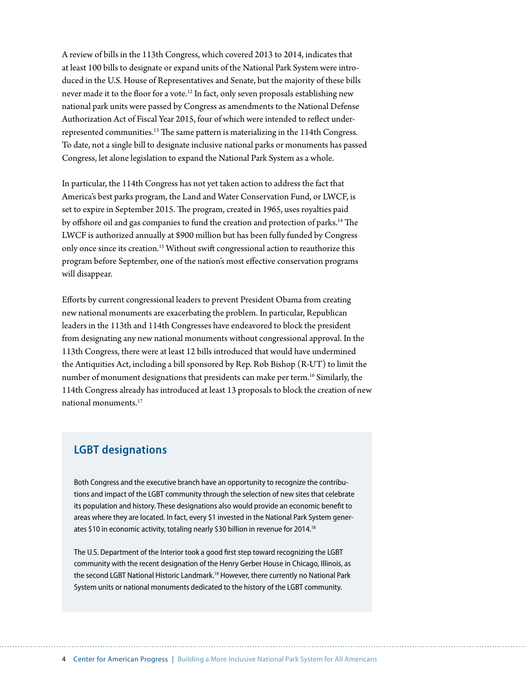A review of bills in the 113th Congress, which covered 2013 to 2014, indicates that at least 100 bills to designate or expand units of the National Park System were introduced in the U.S. House of Representatives and Senate, but the majority of these bills never made it to the floor for a vote.12 In fact, only seven proposals establishing new national park units were passed by Congress as amendments to the National Defense Authorization Act of Fiscal Year 2015, four of which were intended to reflect underrepresented communities.13 The same pattern is materializing in the 114th Congress. To date, not a single bill to designate inclusive national parks or monuments has passed Congress, let alone legislation to expand the National Park System as a whole.

In particular, the 114th Congress has not yet taken action to address the fact that America's best parks program, the Land and Water Conservation Fund, or LWCF, is set to expire in September 2015. The program, created in 1965, uses royalties paid by offshore oil and gas companies to fund the creation and protection of parks.14 The LWCF is authorized annually at \$900 million but has been fully funded by Congress only once since its creation.<sup>15</sup> Without swift congressional action to reauthorize this program before September, one of the nation's most effective conservation programs will disappear.

Efforts by current congressional leaders to prevent President Obama from creating new national monuments are exacerbating the problem. In particular, Republican leaders in the 113th and 114th Congresses have endeavored to block the president from designating any new national monuments without congressional approval. In the 113th Congress, there were at least 12 bills introduced that would have undermined the Antiquities Act, including a bill sponsored by Rep. Rob Bishop (R-UT) to limit the number of monument designations that presidents can make per term.<sup>16</sup> Similarly, the 114th Congress already has introduced at least 13 proposals to block the creation of new national monuments.17

#### **LGBT designations**

Both Congress and the executive branch have an opportunity to recognize the contributions and impact of the LGBT community through the selection of new sites that celebrate its population and history. These designations also would provide an economic benefit to areas where they are located. In fact, every \$1 invested in the National Park System generates \$10 in economic activity, totaling nearly \$30 billion in revenue for 2014.<sup>18</sup>

The U.S. Department of the Interior took a good first step toward recognizing the LGBT community with the recent designation of the Henry Gerber House in Chicago, Illinois, as the second LGBT National Historic Landmark.<sup>19</sup> However, there currently no National Park System units or national monuments dedicated to the history of the LGBT community.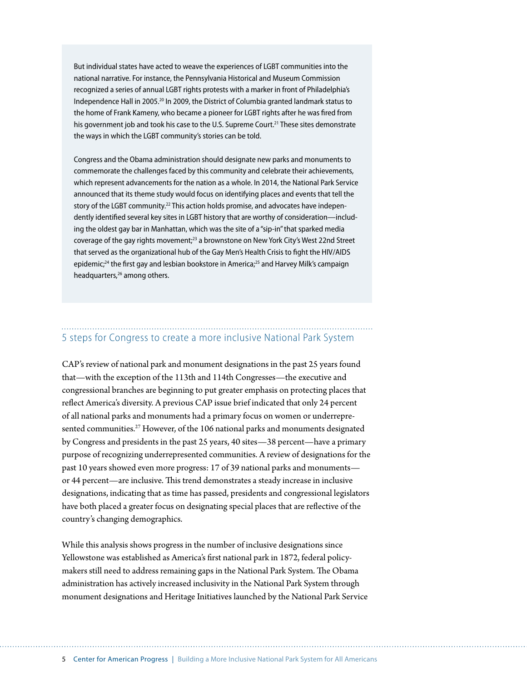But individual states have acted to weave the experiences of LGBT communities into the national narrative. For instance, the Pennsylvania Historical and Museum Commission recognized a series of annual LGBT rights protests with a marker in front of Philadelphia's Independence Hall in 2005.20 In 2009, the District of Columbia granted landmark status to the home of Frank Kameny, who became a pioneer for LGBT rights after he was fired from his government job and took his case to the U.S. Supreme Court.<sup>21</sup> These sites demonstrate the ways in which the LGBT community's stories can be told.

Congress and the Obama administration should designate new parks and monuments to commemorate the challenges faced by this community and celebrate their achievements, which represent advancements for the nation as a whole. In 2014, the National Park Service announced that its theme study would focus on identifying places and events that tell the story of the LGBT community.<sup>22</sup> This action holds promise, and advocates have independently identified several key sites in LGBT history that are worthy of consideration—including the oldest gay bar in Manhattan, which was the site of a "sip-in" that sparked media coverage of the gay rights movement;<sup>23</sup> a brownstone on New York City's West 22nd Street that served as the organizational hub of the Gay Men's Health Crisis to fight the HIV/AIDS epidemic;<sup>24</sup> the first gay and lesbian bookstore in America;<sup>25</sup> and Harvey Milk's campaign headquarters,<sup>26</sup> among others.

# 5 steps for Congress to create a more inclusive National Park System

CAP's review of national park and monument designations in the past 25 years found that—with the exception of the 113th and 114th Congresses—the executive and congressional branches are beginning to put greater emphasis on protecting places that reflect America's diversity. A previous CAP issue brief indicated that only 24 percent of all national parks and monuments had a primary focus on women or underrepresented communities.<sup>27</sup> However, of the 106 national parks and monuments designated by Congress and presidents in the past 25 years, 40 sites—38 percent—have a primary purpose of recognizing underrepresented communities. A review of designations for the past 10 years showed even more progress: 17 of 39 national parks and monuments or 44 percent—are inclusive. This trend demonstrates a steady increase in inclusive designations, indicating that as time has passed, presidents and congressional legislators have both placed a greater focus on designating special places that are reflective of the country's changing demographics.

While this analysis shows progress in the number of inclusive designations since Yellowstone was established as America's first national park in 1872, federal policymakers still need to address remaining gaps in the National Park System. The Obama administration has actively increased inclusivity in the National Park System through monument designations and Heritage Initiatives launched by the National Park Service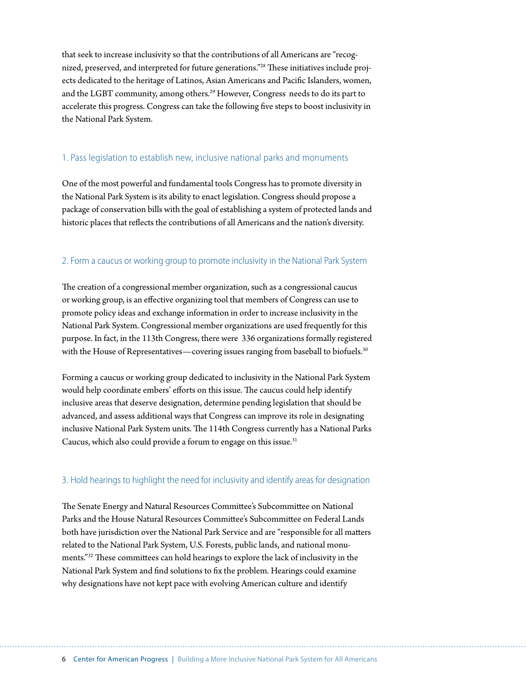that seek to increase inclusivity so that the contributions of all Americans are "recognized, preserved, and interpreted for future generations."28 These initiatives include projects dedicated to the heritage of Latinos, Asian Americans and Pacific Islanders, women, and the LGBT community, among others.29 However, Congress needs to do its part to accelerate this progress. Congress can take the following five steps to boost inclusivity in the National Park System.

#### 1. Pass legislation to establish new, inclusive national parks and monuments

One of the most powerful and fundamental tools Congress has to promote diversity in the National Park System is its ability to enact legislation. Congress should propose a package of conservation bills with the goal of establishing a system of protected lands and historic places that reflects the contributions of all Americans and the nation's diversity.

#### 2. Form a caucus or working group to promote inclusivity in the National Park System

The creation of a congressional member organization, such as a congressional caucus or working group, is an effective organizing tool that members of Congress can use to promote policy ideas and exchange information in order to increase inclusivity in the National Park System. Congressional member organizations are used frequently for this purpose. In fact, in the 113th Congress, there were 336 organizations formally registered with the House of Representatives—covering issues ranging from baseball to biofuels.<sup>30</sup>

Forming a caucus or working group dedicated to inclusivity in the National Park System would help coordinate embers' efforts on this issue. The caucus could help identify inclusive areas that deserve designation, determine pending legislation that should be advanced, and assess additional ways that Congress can improve its role in designating inclusive National Park System units. The 114th Congress currently has a National Parks Caucus, which also could provide a forum to engage on this issue.<sup>31</sup>

#### 3. Hold hearings to highlight the need for inclusivity and identify areas for designation

The Senate Energy and Natural Resources Committee's Subcommittee on National Parks and the House Natural Resources Committee's Subcommittee on Federal Lands both have jurisdiction over the National Park Service and are "responsible for all matters related to the National Park System, U.S. Forests, public lands, and national monuments."32 These committees can hold hearings to explore the lack of inclusivity in the National Park System and find solutions to fix the problem. Hearings could examine why designations have not kept pace with evolving American culture and identify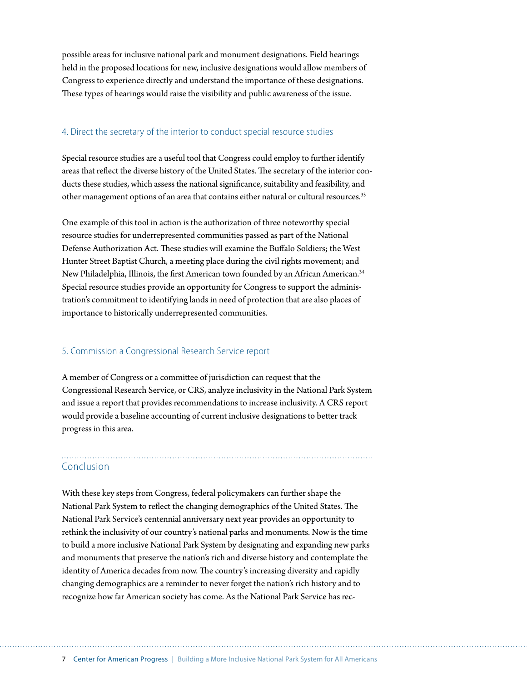possible areas for inclusive national park and monument designations. Field hearings held in the proposed locations for new, inclusive designations would allow members of Congress to experience directly and understand the importance of these designations. These types of hearings would raise the visibility and public awareness of the issue.

#### 4. Direct the secretary of the interior to conduct special resource studies

Special resource studies are a useful tool that Congress could employ to further identify areas that reflect the diverse history of the United States. The secretary of the interior conducts these studies, which assess the national significance, suitability and feasibility, and other management options of an area that contains either natural or cultural resources.<sup>33</sup>

One example of this tool in action is the authorization of three noteworthy special resource studies for underrepresented communities passed as part of the National Defense Authorization Act. These studies will examine the Buffalo Soldiers; the West Hunter Street Baptist Church, a meeting place during the civil rights movement; and New Philadelphia, Illinois, the first American town founded by an African American.34 Special resource studies provide an opportunity for Congress to support the administration's commitment to identifying lands in need of protection that are also places of importance to historically underrepresented communities.

#### 5. Commission a Congressional Research Service report

A member of Congress or a committee of jurisdiction can request that the Congressional Research Service, or CRS, analyze inclusivity in the National Park System and issue a report that provides recommendations to increase inclusivity. A CRS report would provide a baseline accounting of current inclusive designations to better track progress in this area.

#### Conclusion

With these key steps from Congress, federal policymakers can further shape the National Park System to reflect the changing demographics of the United States. The National Park Service's centennial anniversary next year provides an opportunity to rethink the inclusivity of our country's national parks and monuments. Now is the time to build a more inclusive National Park System by designating and expanding new parks and monuments that preserve the nation's rich and diverse history and contemplate the identity of America decades from now. The country's increasing diversity and rapidly changing demographics are a reminder to never forget the nation's rich history and to recognize how far American society has come. As the National Park Service has rec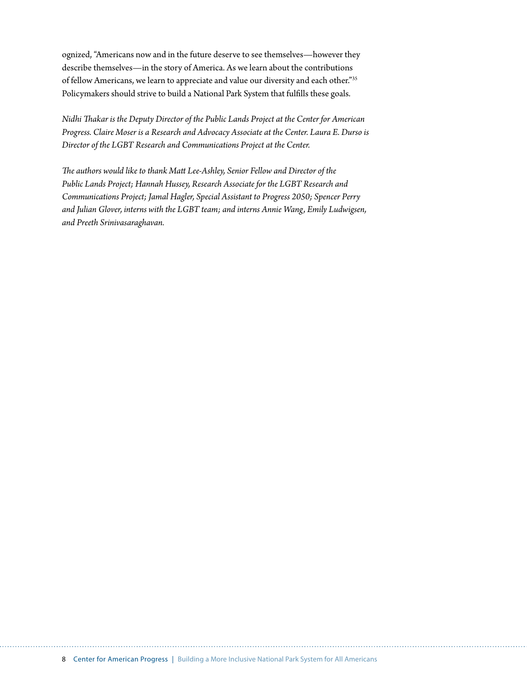ognized, "Americans now and in the future deserve to see themselves—however they describe themselves—in the story of America. As we learn about the contributions of fellow Americans, we learn to appreciate and value our diversity and each other."35 Policymakers should strive to build a National Park System that fulfills these goals.

*Nidhi Thakar is the Deputy Director of the Public Lands Project at the Center for American Progress. Claire Moser is a Research and Advocacy Associate at the Center. Laura E. Durso is Director of the LGBT Research and Communications Project at the Center.* 

*The authors would like to thank Matt Lee-Ashley, Senior Fellow and Director of the Public Lands Project; Hannah Hussey, Research Associate for the LGBT Research and Communications Project; Jamal Hagler, Special Assistant to Progress 2050; Spencer Perry and Julian Glover, interns with the LGBT team; and interns Annie Wang, Emily Ludwigsen, and Preeth Srinivasaraghavan.*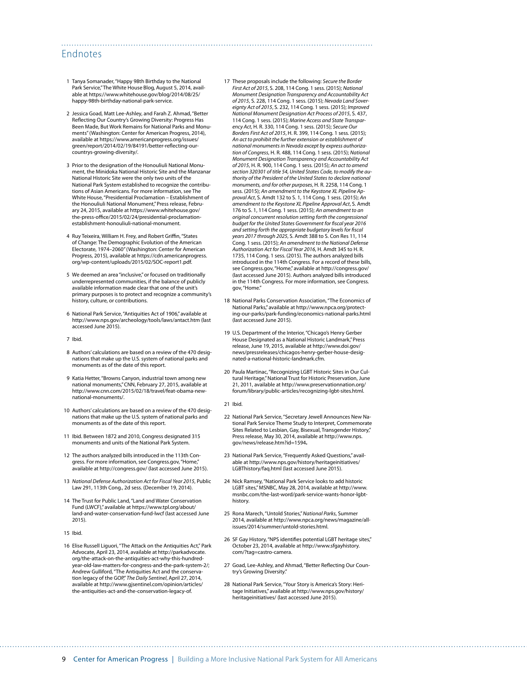#### Endnotes

- 1 Tanya Somanader, "Happy 98th Birthday to the National Park Service," The White House Blog, August 5, 2014, available at [https://www.whitehouse.gov/blog/2014/08/25/](https://www.whitehouse.gov/blog/2014/08/25/happy-98th-birthday-national-park-service) [happy-98th-birthday-national-park-service](https://www.whitehouse.gov/blog/2014/08/25/happy-98th-birthday-national-park-service).
- 2 Jessica Goad, Matt Lee-Ashley, and Farah Z. Ahmad, "Better Reflecting Our Country's Growing Diversity: Progress Has Been Made, But Work Remains for National Parks and Monuments" (Washington: Center for American Progress, 2014), available at [https://www.americanprogress.org/issues/](https://www.americanprogress.org/issues/green/report/2014/02/19/84191/better-reflecting-our-countrys-growing-diversity/) [green/report/2014/02/19/84191/better-reflecting-our](https://www.americanprogress.org/issues/green/report/2014/02/19/84191/better-reflecting-our-countrys-growing-diversity/)[countrys-growing-diversity/.](https://www.americanprogress.org/issues/green/report/2014/02/19/84191/better-reflecting-our-countrys-growing-diversity/)
- 3 Prior to the designation of the Honouliuli National Monument, the Minidoka National Historic Site and the Manzanar National Historic Site were the only two units of the National Park System established to recognize the contributions of Asian Americans. For more information, see The White House, "Presidential Proclamation – Establishment of the Honouliuli National Monument," Press release, February 24, 2015, available at [https://www.whitehouse.gov/](https://www.whitehouse.gov/the-press-office/2015/02/24/presidential-proclamation-establishment-honouliuli-national-monument) [the-press-office/2015/02/24/presidential-proclamation](https://www.whitehouse.gov/the-press-office/2015/02/24/presidential-proclamation-establishment-honouliuli-national-monument)[establishment-honouliuli-national-monument.](https://www.whitehouse.gov/the-press-office/2015/02/24/presidential-proclamation-establishment-honouliuli-national-monument)
- 4 Ruy Teixeira, William H. Frey, and Robert Griffin, "States of Change: The Demographic Evolution of the American Electorate, 1974–2060" (Washington: Center for American Progress, 2015), available at [https://cdn.americanprogress.](https://cdn.americanprogress.org/wp-content/uploads/2015/02/SOC-report1.pdf) [org/wp-content/uploads/2015/02/SOC-report1.pdf](https://cdn.americanprogress.org/wp-content/uploads/2015/02/SOC-report1.pdf).
- 5 We deemed an area "inclusive," or focused on traditionally underrepresented communities, if the balance of publicly available information made clear that one of the unit's primary purposes is to protect and recognize a community's history, culture, or contributions.
- 6 National Park Service, "Antiquities Act of 1906," available at <http://www.nps.gov/archeology/tools/laws/antact.htm> (last accessed June 2015).
- 7 Ibid.
- 8 Authors' calculations are based on a review of the 470 designations that make up the U.S. system of national parks and monuments as of the date of this report.
- 9 Katia Hetter, "Browns Canyon, industrial town among new national monuments," CNN, February 27, 2015, available at [http://www.cnn.com/2015/02/18/travel/feat-obama-new](http://www.cnn.com/2015/02/18/travel/feat-obama-new-national-monuments/)[national-monuments/](http://www.cnn.com/2015/02/18/travel/feat-obama-new-national-monuments/).
- 10 Authors' calculations are based on a review of the 470 designations that make up the U.S. system of national parks and monuments as of the date of this report.
- 11 Ibid. Between 1872 and 2010, Congress designated 315 monuments and units of the National Park System.
- 12 The authors analyzed bills introduced in the 113th Congress. For more information, see Congress.gov, "Home," available at <http://congress.gov/> (last accessed June 2015).
- 13 *National Defense Authorization Act for Fiscal Year 2015*, Public Law 291, 113th Cong., 2d sess. (December 19, 2014).
- 14 The Trust for Public Land, "Land and Water Conservation Fund (LWCF)," available at [https://www.tpl.org/about/](https://www.tpl.org/about/land-and-water-conservation-fund-lwcf) [land-and-water-conservation-fund-lwcf](https://www.tpl.org/about/land-and-water-conservation-fund-lwcf) (last accessed June 2015).
- 15 Ibid.
- 16 Elise Russell Liguori, "The Attack on the Antiquities Act," Park Advocate, April 23, 2014, available at [http://parkadvocate.](http://parkadvocate.org/the-attack-on-the-antiquities-act-why-this-hundred-year-old-law-matters-for-congress-and-the-park-system-2/) [org/the-attack-on-the-antiquities-act-why-this-hundred](http://parkadvocate.org/the-attack-on-the-antiquities-act-why-this-hundred-year-old-law-matters-for-congress-and-the-park-system-2/)[year-old-law-matters-for-congress-and-the-park-system-2/](http://parkadvocate.org/the-attack-on-the-antiquities-act-why-this-hundred-year-old-law-matters-for-congress-and-the-park-system-2/); Andrew Gulliford, "The Antiquities Act and the conservation legacy of the GOP," *The Daily Sentinel*, April 27, 2014, available at [http://www.gjsentinel.com/opinion/articles/](http://www.gjsentinel.com/opinion/articles/the-antiquities-act-and-the-conservation-legacy-of) [the-antiquities-act-and-the-conservation-legacy-of.](http://www.gjsentinel.com/opinion/articles/the-antiquities-act-and-the-conservation-legacy-of)
- 17 These proposals include the following: *Secure the Border First Act of 2015*, S. 208, 114 Cong. 1 sess. (2015); *National Monument Designation Transparency and Accountability Act of 2015*, S. 228, 114 Cong. 1 sess. (2015); *Nevada Land Sovereignty Act of 2015*, S. 232, 114 Cong. 1 sess. (2015); *Improved National Monument Designation Act Process of 2015*, S. 437, 114 Cong. 1 sess. (2015); *Marine Access and State Transparency Act*, H. R. 330, 114 Cong. 1 sess. (2015); *Secure Our Borders First Act of 2015*, H. R. 399, 114 Cong. 1 sess. (2015); *An act to prohibit the further extension or establishment of national monuments in Nevada except by express authorization of Congress*, H. R. 488, 114 Cong. 1 sess. (2015); *National Monument Designation Transparency and Accountability Act of 2015*, H. R. 900, 114 Cong. 1 sess. (2015); *An act to amend section 320301 of title 54, United States Code, to modify the authority of the President of the United States to declare national monuments, and for other purposes*, H. R. 2258, 114 Cong. 1 sess. (2015); *An amendment to the Keystone XL Pipeline Approval Act*, S. Amdt 132 to S. 1, 114 Cong. 1 sess. (2015); *An amendment to the Keystone XL Pipeline Approval Act*, S. Amdt 176 to S. 1, 114 Cong. 1 sess. (2015); *An amendment to an original concurrent resolution setting forth the congressional budget for the United States Government for fiscal year 2016 and setting forth the appropriate budgetary levels for fiscal years 2017 through 2025*, S. Amdt 388 to S. Con Res 11, 114 Cong. 1 sess. (2015); *An amendment to the National Defense Authorization Act for Fiscal Year 2016*, H. Amdt 345 to H. R. 1735, 114 Cong. 1 sess. (2015). The authors analyzed bills introduced in the 114th Congress. For a record of these bills, see Congress.gov, "Home," available at<http://congress.gov/> (last accessed June 2015). Authors analyzed bills introduced in the 114th Congress. For more information, see Congress. gov, "Home."
- 18 National Parks Conservation Association, "The Economics of National Parks," available at [http://www.npca.org/protect](http://www.npca.org/protecting-our-parks/park-funding/economics-national-parks.html)[ing-our-parks/park-funding/economics-national-parks.html](http://www.npca.org/protecting-our-parks/park-funding/economics-national-parks.html) (last accessed June 2015).
- 19 U.S. Department of the Interior, "Chicago's Henry Gerber House Designated as a National Historic Landmark," Press release, June 19, 2015, available at http://www.doi.gov/ news/pressreleases/chicagos-henry-gerber-house-designated-a-national-historic-landmark.cfm.
- 20 Paula Martinac, "Recognizing LGBT Historic Sites in Our Cultural Heritage," National Trust for Historic Preservation, June 21, 2011, available at [http://www.preservationnation.org/](http://www.preservationnation.org/forum/library/public-articles/recognizing-lgbt-sites.html) [forum/library/public-articles/recognizing-lgbt-sites.html.](http://www.preservationnation.org/forum/library/public-articles/recognizing-lgbt-sites.html)
- 21 Ibid.

- 22 National Park Service, "Secretary Jewell Announces New National Park Service Theme Study to Interpret, Commemorate Sites Related to Lesbian, Gay, Bisexual, Transgender History," Press release, May 30, 2014, available at [http://www.nps.](http://www.nps.gov/news/release.htm?id=1594) [gov/news/release.htm?id=1594](http://www.nps.gov/news/release.htm?id=1594)**.**
- 23 National Park Service, "Frequently Asked Questions," available at [http://www.nps.gov/history/heritageinitiatives/](http://www.nps.gov/history/heritageinitiatives/LGBThistory/faq.html) [LGBThistory/faq.html](http://www.nps.gov/history/heritageinitiatives/LGBThistory/faq.html) (last accessed June 2015).
- 24 Nick Ramsey, "National Park Service looks to add historic LGBT sites," MSNBC, May 28, 2014, available at [http://www.](http://www.msnbc.com/the-last-word/park-service-wants-honor-lgbt-history) [msnbc.com/the-last-word/park-service-wants-honor-lgbt](http://www.msnbc.com/the-last-word/park-service-wants-honor-lgbt-history)[history.](http://www.msnbc.com/the-last-word/park-service-wants-honor-lgbt-history)
- 25 Rona Marech, "Untold Stories," *National Parks*, Summer 2014, available at [http://www.npca.org/news/magazine/all](http://www.npca.org/news/magazine/all-issues/2014/summer/untold-stories.html)[issues/2014/summer/untold-stories.html](http://www.npca.org/news/magazine/all-issues/2014/summer/untold-stories.html).
- 26 SF Gay History, "NPS identifies potential LGBT heritage sites," October 23, 2014, available at [http://www.sfgayhistory.](http://www.sfgayhistory.com/?tag=castro-camera) [com/?tag=castro-camera](http://www.sfgayhistory.com/?tag=castro-camera).
- 27 Goad, Lee-Ashley, and Ahmad, "Better Reflecting Our Country's Growing Diversity."
- 28 National Park Service, "Your Story is America's Story: Heritage Initiatives," available at [http://www.nps.gov/history/](http://www.nps.gov/history/heritageinitiatives/) [heritageinitiatives/](http://www.nps.gov/history/heritageinitiatives/) (last accessed June 2015).